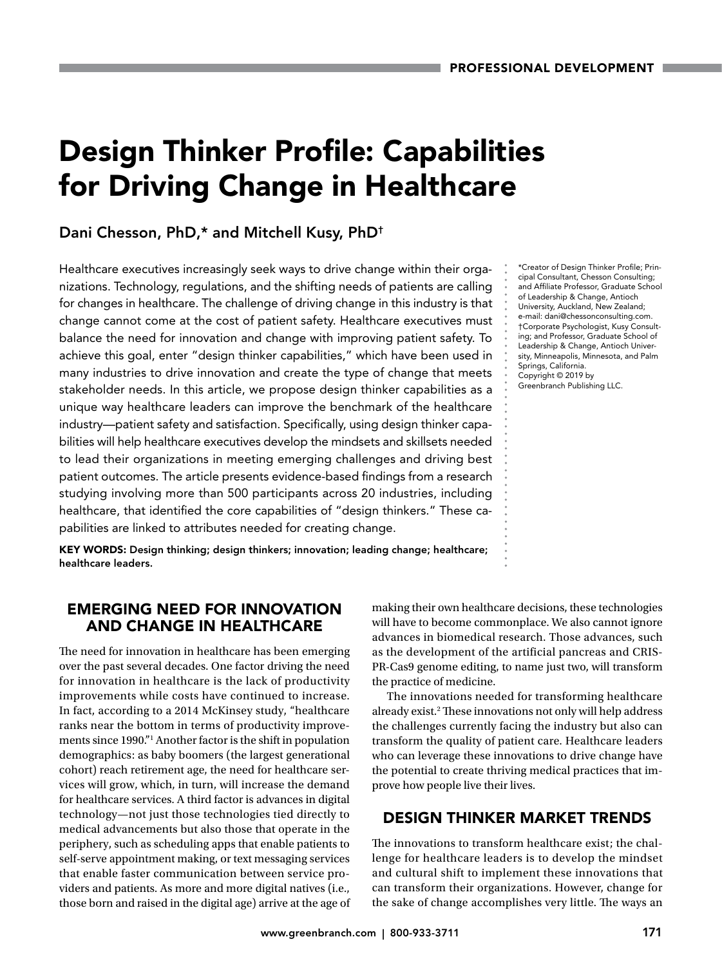# Design Thinker Profile: Capabilities for Driving Change in Healthcare

# Dani Chesson, PhD,\* and Mitchell Kusy, PhD†

Healthcare executives increasingly seek ways to drive change within their organizations. Technology, regulations, and the shifting needs of patients are calling for changes in healthcare. The challenge of driving change in this industry is that change cannot come at the cost of patient safety. Healthcare executives must balance the need for innovation and change with improving patient safety. To achieve this goal, enter "design thinker capabilities," which have been used in many industries to drive innovation and create the type of change that meets stakeholder needs. In this article, we propose design thinker capabilities as a unique way healthcare leaders can improve the benchmark of the healthcare industry—patient safety and satisfaction. Specifically, using design thinker capabilities will help healthcare executives develop the mindsets and skillsets needed to lead their organizations in meeting emerging challenges and driving best patient outcomes. The article presents evidence-based findings from a research studying involving more than 500 participants across 20 industries, including healthcare, that identified the core capabilities of "design thinkers." These capabilities are linked to attributes needed for creating change.

KEY WORDS: Design thinking; design thinkers; innovation; leading change; healthcare; healthcare leaders.

# EMERGING NEED FOR INNOVATION AND CHANGE IN HEALTHCARE

The need for innovation in healthcare has been emerging over the past several decades. One factor driving the need for innovation in healthcare is the lack of productivity improvements while costs have continued to increase. In fact, according to a 2014 McKinsey study, "healthcare ranks near the bottom in terms of productivity improvements since 1990."1 Another factor is the shift in population demographics: as baby boomers (the largest generational cohort) reach retirement age, the need for healthcare services will grow, which, in turn, will increase the demand for healthcare services. A third factor is advances in digital technology—not just those technologies tied directly to medical advancements but also those that operate in the periphery, such as scheduling apps that enable patients to self-serve appointment making, or text messaging services that enable faster communication between service providers and patients. As more and more digital natives (i.e., those born and raised in the digital age) arrive at the age of

\*Creator of Design Thinker Profile; Principal Consultant, Chesson Consulting; and Affiliate Professor, Graduate School of Leadership & Change, Antioch University, Auckland, New Zealand; e-mail: [dani@chessonconsulting.com](mailto:dani@chessonconsulting.com). †Corporate Psychologist, Kusy Consulting; and Professor, Graduate School of Leadership & Change, Antioch University, Minneapolis, Minnesota, and Palm Springs, California. Copyright © 2019 by Greenbranch Publishing LLC.

making their own healthcare decisions, these technologies will have to become commonplace. We also cannot ignore advances in biomedical research. Those advances, such as the development of the artificial pancreas and CRIS-PR-Cas9 genome editing, to name just two, will transform the practice of medicine.

The innovations needed for transforming healthcare already exist.2 These innovations not only will help address the challenges currently facing the industry but also can transform the quality of patient care. Healthcare leaders who can leverage these innovations to drive change have the potential to create thriving medical practices that improve how people live their lives.

# DESIGN THINKER MARKET TRENDS

The innovations to transform healthcare exist; the challenge for healthcare leaders is to develop the mindset and cultural shift to implement these innovations that can transform their organizations. However, change for the sake of change accomplishes very little. The ways an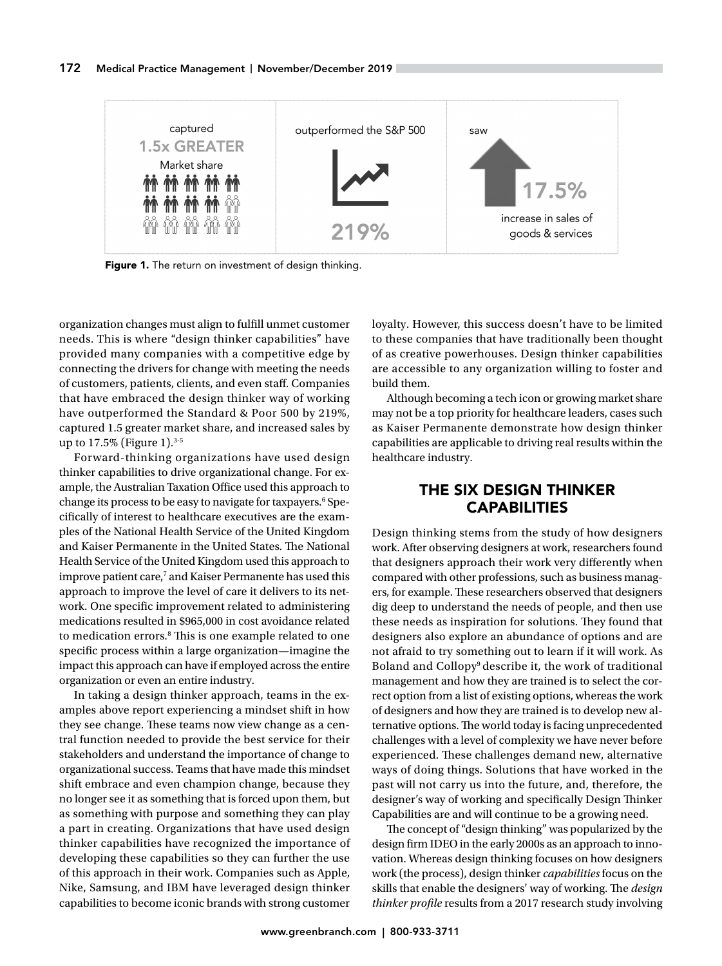

Figure 1. The return on investment of design thinking.

organization changes must align to fulfill unmet customer needs. This is where "design thinker capabilities" have provided many companies with a competitive edge by connecting the drivers for change with meeting the needs of customers, patients, clients, and even staff. Companies that have embraced the design thinker way of working have outperformed the Standard & Poor 500 by 219%, captured 1.5 greater market share, and increased sales by up to  $17.5\%$  (Figure 1).<sup>3-5</sup>

Forward-thinking organizations have used design thinker capabilities to drive organizational change. For example, the Australian Taxation Office used this approach to change its process to be easy to navigate for taxpayers.<sup>6</sup> Specifically of interest to healthcare executives are the examples of the National Health Service of the United Kingdom and Kaiser Permanente in the United States. The National Health Service of the United Kingdom used this approach to improve patient care,<sup>7</sup> and Kaiser Permanente has used this approach to improve the level of care it delivers to its network. One specific improvement related to administering medications resulted in \$965,000 in cost avoidance related to medication errors.<sup>8</sup> This is one example related to one specific process within a large organization—imagine the impact this approach can have if employed across the entire organization or even an entire industry.

In taking a design thinker approach, teams in the examples above report experiencing a mindset shift in how they see change. These teams now view change as a central function needed to provide the best service for their stakeholders and understand the importance of change to organizational success. Teams that have made this mindset shift embrace and even champion change, because they no longer see it as something that is forced upon them, but as something with purpose and something they can play a part in creating. Organizations that have used design thinker capabilities have recognized the importance of developing these capabilities so they can further the use of this approach in their work. Companies such as Apple, Nike, Samsung, and IBM have leveraged design thinker capabilities to become iconic brands with strong customer

loyalty. However, this success doesn't have to be limited to these companies that have traditionally been thought of as creative powerhouses. Design thinker capabilities are accessible to any organization willing to foster and build them.

Although becoming a tech icon or growing market share may not be a top priority for healthcare leaders, cases such as Kaiser Permanente demonstrate how design thinker capabilities are applicable to driving real results within the healthcare industry.

# THE SIX DESIGN THINKER **CAPABILITIES**

Design thinking stems from the study of how designers work. After observing designers at work, researchers found that designers approach their work very differently when compared with other professions, such as business managers, for example. These researchers observed that designers dig deep to understand the needs of people, and then use these needs as inspiration for solutions. They found that designers also explore an abundance of options and are not afraid to try something out to learn if it will work. As Boland and Collopy<sup>9</sup> describe it, the work of traditional management and how they are trained is to select the correct option from a list of existing options, whereas the work of designers and how they are trained is to develop new alternative options. The world today is facing unprecedented challenges with a level of complexity we have never before experienced. These challenges demand new, alternative ways of doing things. Solutions that have worked in the past will not carry us into the future, and, therefore, the designer's way of working and specifically Design Thinker Capabilities are and will continue to be a growing need.

The concept of "design thinking" was popularized by the design firm IDEO in the early 2000s as an approach to innovation. Whereas design thinking focuses on how designers work (the process), design thinker *capabilities* focus on the skills that enable the designers' way of working. The *design thinker profile* results from a 2017 research study involving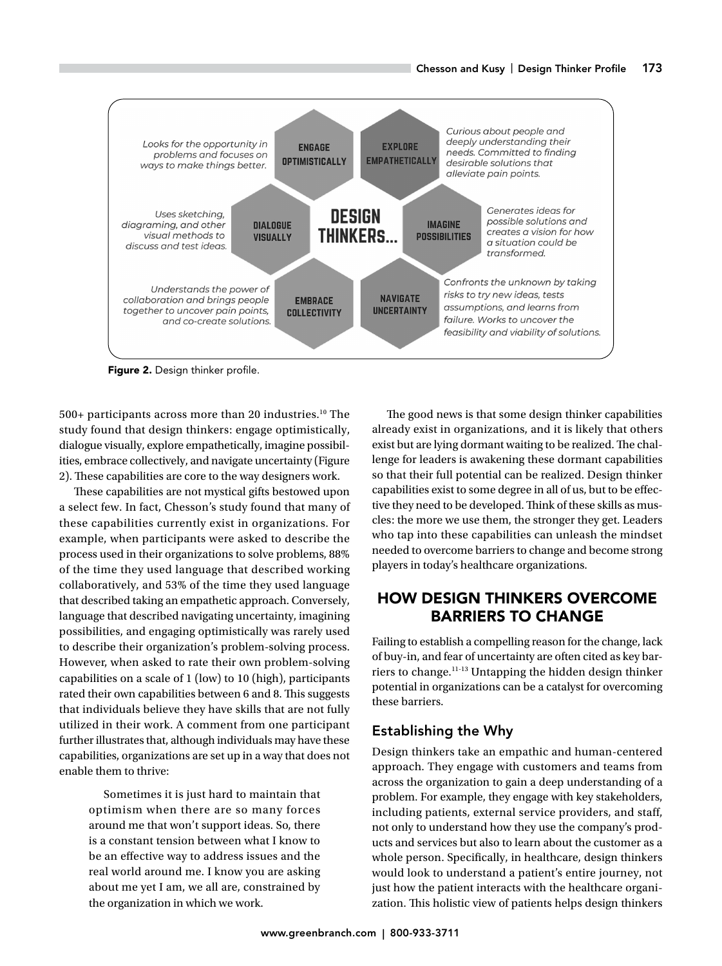

Figure 2. Design thinker profile.

500+ participants across more than 20 industries.<sup>10</sup> The study found that design thinkers: engage optimistically, dialogue visually, explore empathetically, imagine possibilities, embrace collectively, and navigate uncertainty (Figure 2). These capabilities are core to the way designers work.

These capabilities are not mystical gifts bestowed upon a select few. In fact, Chesson's study found that many of these capabilities currently exist in organizations. For example, when participants were asked to describe the process used in their organizations to solve problems, 88% of the time they used language that described working collaboratively, and 53% of the time they used language that described taking an empathetic approach. Conversely, language that described navigating uncertainty, imagining possibilities, and engaging optimistically was rarely used to describe their organization's problem-solving process. However, when asked to rate their own problem-solving capabilities on a scale of 1 (low) to 10 (high), participants rated their own capabilities between 6 and 8. This suggests that individuals believe they have skills that are not fully utilized in their work. A comment from one participant further illustrates that, although individuals may have these capabilities, organizations are set up in a way that does not enable them to thrive:

Sometimes it is just hard to maintain that optimism when there are so many forces around me that won't support ideas. So, there is a constant tension between what I know to be an effective way to address issues and the real world around me. I know you are asking about me yet I am, we all are, constrained by the organization in which we work.

The good news is that some design thinker capabilities already exist in organizations, and it is likely that others exist but are lying dormant waiting to be realized. The challenge for leaders is awakening these dormant capabilities so that their full potential can be realized. Design thinker capabilities exist to some degree in all of us, but to be effective they need to be developed. Think of these skills as muscles: the more we use them, the stronger they get. Leaders who tap into these capabilities can unleash the mindset needed to overcome barriers to change and become strong players in today's healthcare organizations.

# HOW DESIGN THINKERS OVERCOME BARRIERS TO CHANGE

Failing to establish a compelling reason for the change, lack of buy-in, and fear of uncertainty are often cited as key barriers to change.11-13 Untapping the hidden design thinker potential in organizations can be a catalyst for overcoming these barriers.

# Establishing the Why

Design thinkers take an empathic and human-centered approach. They engage with customers and teams from across the organization to gain a deep understanding of a problem. For example, they engage with key stakeholders, including patients, external service providers, and staff, not only to understand how they use the company's products and services but also to learn about the customer as a whole person. Specifically, in healthcare, design thinkers would look to understand a patient's entire journey, not just how the patient interacts with the healthcare organization. This holistic view of patients helps design thinkers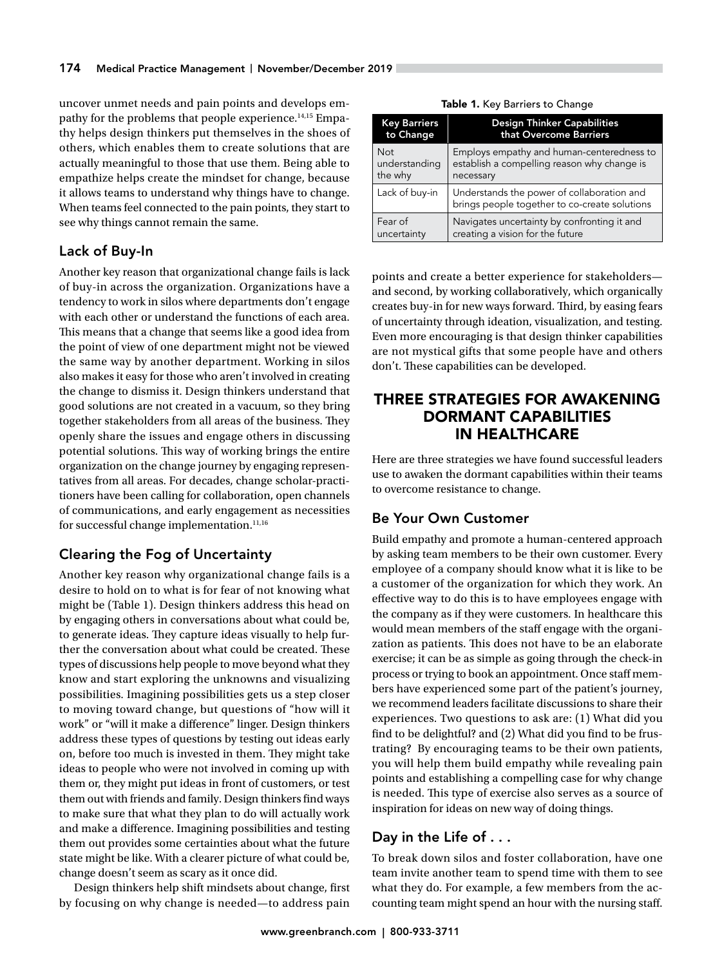uncover unmet needs and pain points and develops empathy for the problems that people experience.14,15 Empathy helps design thinkers put themselves in the shoes of others, which enables them to create solutions that are actually meaningful to those that use them. Being able to empathize helps create the mindset for change, because it allows teams to understand why things have to change. When teams feel connected to the pain points, they start to see why things cannot remain the same.

# Lack of Buy-In

Another key reason that organizational change fails is lack of buy-in across the organization. Organizations have a tendency to work in silos where departments don't engage with each other or understand the functions of each area. This means that a change that seems like a good idea from the point of view of one department might not be viewed the same way by another department. Working in silos also makes it easy for those who aren't involved in creating the change to dismiss it. Design thinkers understand that good solutions are not created in a vacuum, so they bring together stakeholders from all areas of the business. They openly share the issues and engage others in discussing potential solutions. This way of working brings the entire organization on the change journey by engaging representatives from all areas. For decades, change scholar-practitioners have been calling for collaboration, open channels of communications, and early engagement as necessities for successful change implementation.<sup>11,16</sup>

# Clearing the Fog of Uncertainty

Another key reason why organizational change fails is a desire to hold on to what is for fear of not knowing what might be (Table 1). Design thinkers address this head on by engaging others in conversations about what could be, to generate ideas. They capture ideas visually to help further the conversation about what could be created. These types of discussions help people to move beyond what they know and start exploring the unknowns and visualizing possibilities. Imagining possibilities gets us a step closer to moving toward change, but questions of "how will it work" or "will it make a difference" linger. Design thinkers address these types of questions by testing out ideas early on, before too much is invested in them. They might take ideas to people who were not involved in coming up with them or, they might put ideas in front of customers, or test them out with friends and family. Design thinkers find ways to make sure that what they plan to do will actually work and make a difference. Imagining possibilities and testing them out provides some certainties about what the future state might be like. With a clearer picture of what could be, change doesn't seem as scary as it once did.

Design thinkers help shift mindsets about change, first by focusing on why change is needed—to address pain

| <b>Key Barriers</b> | <b>Design Thinker Capabilities</b>                                                          |
|---------------------|---------------------------------------------------------------------------------------------|
| to Change           | that Overcome Barriers                                                                      |
| <b>Not</b>          | Employs empathy and human-centeredness to                                                   |
| understanding       | establish a compelling reason why change is                                                 |
| the why             | necessary                                                                                   |
| Lack of buy-in      | Understands the power of collaboration and<br>brings people together to co-create solutions |
| Fear of             | Navigates uncertainty by confronting it and                                                 |
| uncertainty         | creating a vision for the future                                                            |

Table 1. Key Barriers to Change

points and create a better experience for stakeholders and second, by working collaboratively, which organically creates buy-in for new ways forward. Third, by easing fears of uncertainty through ideation, visualization, and testing. Even more encouraging is that design thinker capabilities are not mystical gifts that some people have and others don't. These capabilities can be developed.

# THREE STRATEGIES FOR AWAKENING DORMANT CAPABILITIES IN HEALTHCARE

Here are three strategies we have found successful leaders use to awaken the dormant capabilities within their teams to overcome resistance to change.

# Be Your Own Customer

Build empathy and promote a human-centered approach by asking team members to be their own customer. Every employee of a company should know what it is like to be a customer of the organization for which they work. An effective way to do this is to have employees engage with the company as if they were customers. In healthcare this would mean members of the staff engage with the organization as patients. This does not have to be an elaborate exercise; it can be as simple as going through the check-in process or trying to book an appointment. Once staff members have experienced some part of the patient's journey, we recommend leaders facilitate discussions to share their experiences. Two questions to ask are: (1) What did you find to be delightful? and (2) What did you find to be frustrating? By encouraging teams to be their own patients, you will help them build empathy while revealing pain points and establishing a compelling case for why change is needed. This type of exercise also serves as a source of inspiration for ideas on new way of doing things.

# Day in the Life of . . .

To break down silos and foster collaboration, have one team invite another team to spend time with them to see what they do. For example, a few members from the accounting team might spend an hour with the nursing staff.